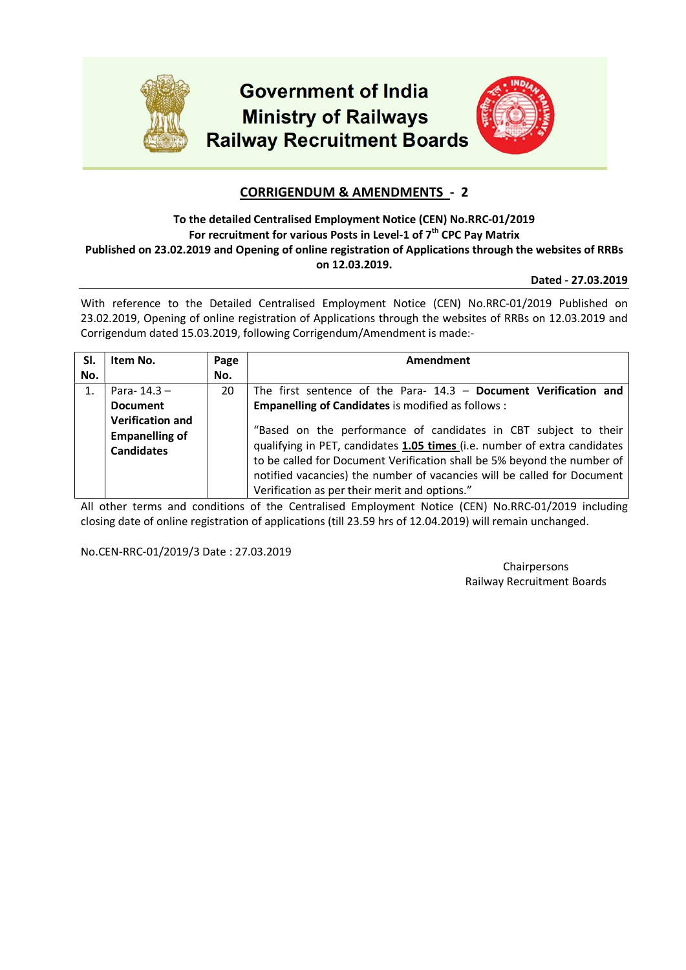

## CORRIGENDUM & AMENDMENTS - 2

### To the detailed Centralised Employment Notice (CEN) No.RRC-01/2019 For recruitment for various Posts in Level-1 of  $7<sup>th</sup>$  CPC Pay Matrix Published on 23.02.2019 and Opening of online registration of Applications through the websites of RRBs on 12.03.2019.

#### Dated - 27.03.2019

With reference to the Detailed Centralised Employment Notice (CEN) No.RRC-01/2019 Published on 23.02.2019, Opening of online registration of Applications through the websites of RRBs on 12.03.2019 and Corrigendum dated 15.03.2019, following Corrigendum/Amendment is made:-

| SI.<br>No. | Item No.                                                                              | Page<br>No. | Amendment                                                                                                                                                                                                                                                                        |
|------------|---------------------------------------------------------------------------------------|-------------|----------------------------------------------------------------------------------------------------------------------------------------------------------------------------------------------------------------------------------------------------------------------------------|
| 1.         | Para- $14.3 -$<br><b>Document</b><br><b>Verification and</b><br><b>Empanelling of</b> | 20          | The first sentence of the Para- $14.3$ – Document Verification and<br><b>Empanelling of Candidates is modified as follows:</b><br>"Based on the performance of candidates in CBT subject to their                                                                                |
|            | <b>Candidates</b>                                                                     |             | qualifying in PET, candidates 1.05 times (i.e. number of extra candidates<br>to be called for Document Verification shall be 5% beyond the number of<br>notified vacancies) the number of vacancies will be called for Document<br>Verification as per their merit and options." |

All other terms and conditions of the Centralised Employment Notice (CEN) No.RRC-01/2019 including closing date of online registration of applications (till 23.59 hrs of 12.04.2019) will remain unchanged.

No.CEN-RRC-01/2019/3 Date : 27.03.2019

Chairpersons Railway Recruitment Boards